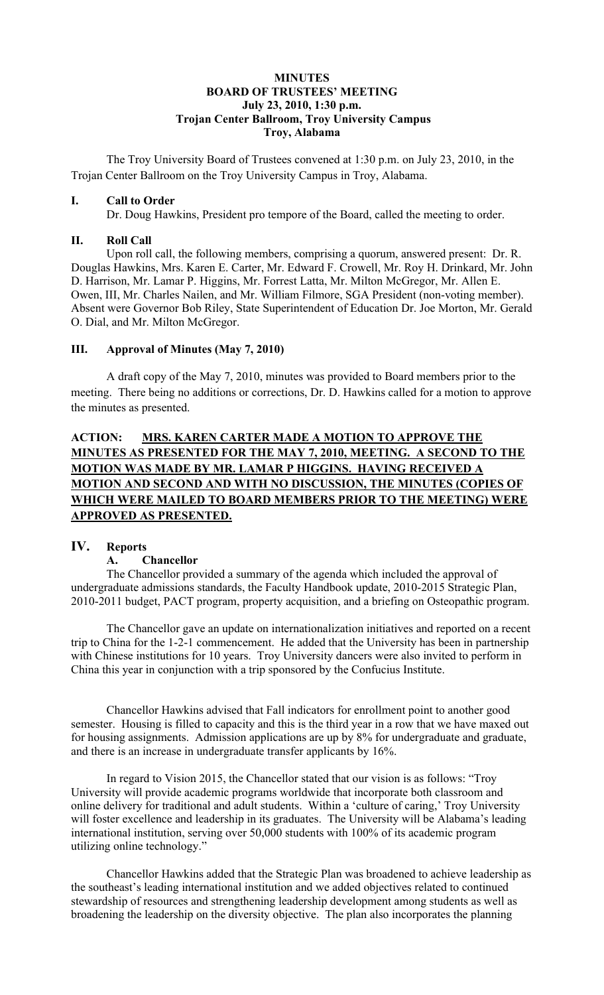#### **MINUTES BOARD OF TRUSTEES' MEETING July 23, 2010, 1:30 p.m. Trojan Center Ballroom, Troy University Campus Troy, Alabama**

The Troy University Board of Trustees convened at 1:30 p.m. on July 23, 2010, in the Trojan Center Ballroom on the Troy University Campus in Troy, Alabama.

### **I. Call to Order**

Dr. Doug Hawkins, President pro tempore of the Board, called the meeting to order.

### **II. Roll Call**

Upon roll call, the following members, comprising a quorum, answered present: Dr. R. Douglas Hawkins, Mrs. Karen E. Carter, Mr. Edward F. Crowell, Mr. Roy H. Drinkard, Mr. John D. Harrison, Mr. Lamar P. Higgins, Mr. Forrest Latta, Mr. Milton McGregor, Mr. Allen E. Owen, III, Mr. Charles Nailen, and Mr. William Filmore, SGA President (non-voting member). Absent were Governor Bob Riley, State Superintendent of Education Dr. Joe Morton, Mr. Gerald O. Dial, and Mr. Milton McGregor.

# **III. Approval of Minutes (May 7, 2010)**

A draft copy of the May 7, 2010, minutes was provided to Board members prior to the meeting. There being no additions or corrections, Dr. D. Hawkins called for a motion to approve the minutes as presented.

# **ACTION: MRS. KAREN CARTER MADE A MOTION TO APPROVE THE MINUTES AS PRESENTED FOR THE MAY 7, 2010, MEETING. A SECOND TO THE MOTION WAS MADE BY MR. LAMAR P HIGGINS. HAVING RECEIVED A MOTION AND SECOND AND WITH NO DISCUSSION, THE MINUTES (COPIES OF WHICH WERE MAILED TO BOARD MEMBERS PRIOR TO THE MEETING) WERE APPROVED AS PRESENTED.**

### **IV. Reports**

#### **A. Chancellor**

The Chancellor provided a summary of the agenda which included the approval of undergraduate admissions standards, the Faculty Handbook update, 2010-2015 Strategic Plan, 2010-2011 budget, PACT program, property acquisition, and a briefing on Osteopathic program.

The Chancellor gave an update on internationalization initiatives and reported on a recent trip to China for the 1-2-1 commencement. He added that the University has been in partnership with Chinese institutions for 10 years. Troy University dancers were also invited to perform in China this year in conjunction with a trip sponsored by the Confucius Institute.

Chancellor Hawkins advised that Fall indicators for enrollment point to another good semester. Housing is filled to capacity and this is the third year in a row that we have maxed out for housing assignments. Admission applications are up by 8% for undergraduate and graduate, and there is an increase in undergraduate transfer applicants by 16%.

In regard to Vision 2015, the Chancellor stated that our vision is as follows: "Troy University will provide academic programs worldwide that incorporate both classroom and online delivery for traditional and adult students. Within a 'culture of caring,' Troy University will foster excellence and leadership in its graduates. The University will be Alabama's leading international institution, serving over 50,000 students with 100% of its academic program utilizing online technology."

Chancellor Hawkins added that the Strategic Plan was broadened to achieve leadership as the southeast's leading international institution and we added objectives related to continued stewardship of resources and strengthening leadership development among students as well as broadening the leadership on the diversity objective. The plan also incorporates the planning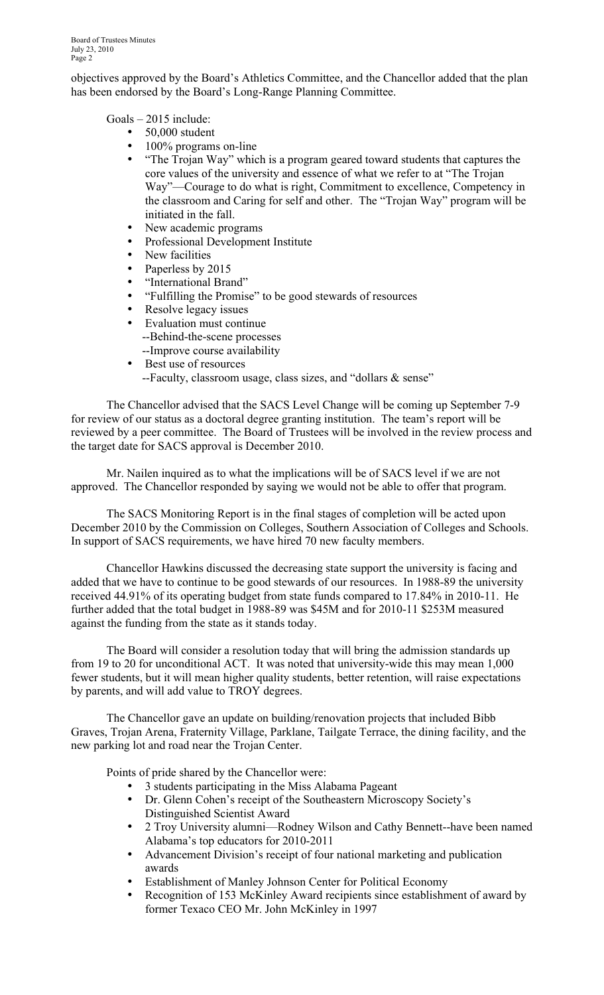objectives approved by the Board's Athletics Committee, and the Chancellor added that the plan has been endorsed by the Board's Long-Range Planning Committee.

Goals – 2015 include:

- 50,000 student
- 100% programs on-line
- "The Trojan Way" which is a program geared toward students that captures the core values of the university and essence of what we refer to at "The Trojan Way"—Courage to do what is right, Commitment to excellence, Competency in the classroom and Caring for self and other. The "Trojan Way" program will be initiated in the fall.
- New academic programs
- Professional Development Institute
- New facilities
- Paperless by 2015
- "International Brand"
- "Fulfilling the Promise" to be good stewards of resources
- Resolve legacy issues
- Evaluation must continue
	- --Behind-the-scene processes --Improve course availability
- Best use of resources
	- --Faculty, classroom usage, class sizes, and "dollars & sense"

The Chancellor advised that the SACS Level Change will be coming up September 7-9 for review of our status as a doctoral degree granting institution. The team's report will be reviewed by a peer committee. The Board of Trustees will be involved in the review process and the target date for SACS approval is December 2010.

Mr. Nailen inquired as to what the implications will be of SACS level if we are not approved. The Chancellor responded by saying we would not be able to offer that program.

The SACS Monitoring Report is in the final stages of completion will be acted upon December 2010 by the Commission on Colleges, Southern Association of Colleges and Schools. In support of SACS requirements, we have hired 70 new faculty members.

Chancellor Hawkins discussed the decreasing state support the university is facing and added that we have to continue to be good stewards of our resources. In 1988-89 the university received 44.91% of its operating budget from state funds compared to 17.84% in 2010-11. He further added that the total budget in 1988-89 was \$45M and for 2010-11 \$253M measured against the funding from the state as it stands today.

The Board will consider a resolution today that will bring the admission standards up from 19 to 20 for unconditional ACT. It was noted that university-wide this may mean 1,000 fewer students, but it will mean higher quality students, better retention, will raise expectations by parents, and will add value to TROY degrees.

The Chancellor gave an update on building/renovation projects that included Bibb Graves, Trojan Arena, Fraternity Village, Parklane, Tailgate Terrace, the dining facility, and the new parking lot and road near the Trojan Center.

Points of pride shared by the Chancellor were:

- 3 students participating in the Miss Alabama Pageant
- Dr. Glenn Cohen's receipt of the Southeastern Microscopy Society's Distinguished Scientist Award
- 2 Troy University alumni—Rodney Wilson and Cathy Bennett--have been named Alabama's top educators for 2010-2011
- Advancement Division's receipt of four national marketing and publication awards
- Establishment of Manley Johnson Center for Political Economy
- Recognition of 153 McKinley Award recipients since establishment of award by former Texaco CEO Mr. John McKinley in 1997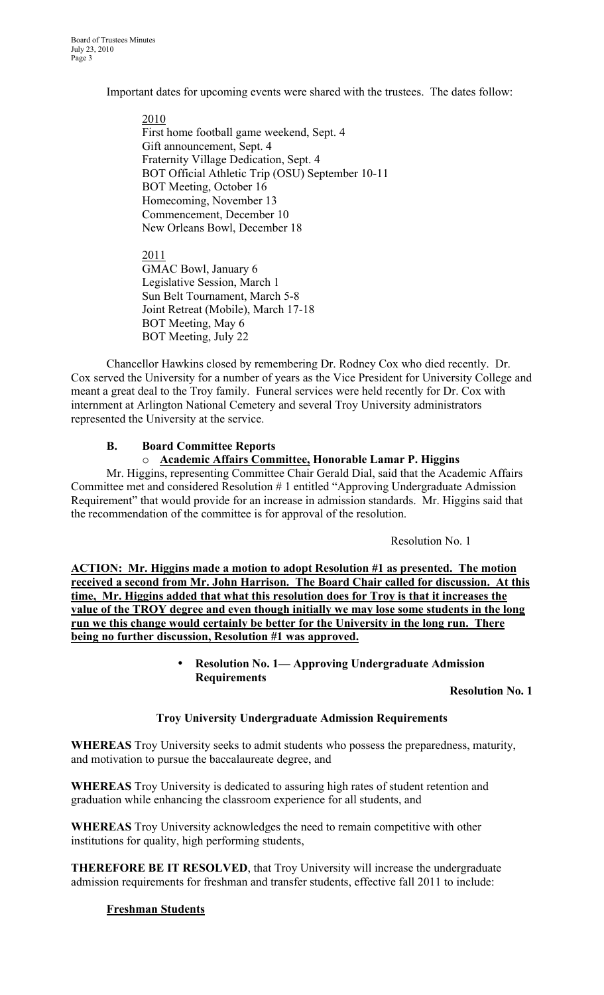Important dates for upcoming events were shared with the trustees. The dates follow:

2010 First home football game weekend, Sept. 4 Gift announcement, Sept. 4 Fraternity Village Dedication, Sept. 4 BOT Official Athletic Trip (OSU) September 10-11 BOT Meeting, October 16 Homecoming, November 13 Commencement, December 10 New Orleans Bowl, December 18

2011 GMAC Bowl, January 6 Legislative Session, March 1 Sun Belt Tournament, March 5-8 Joint Retreat (Mobile), March 17-18 BOT Meeting, May 6 BOT Meeting, July 22

Chancellor Hawkins closed by remembering Dr. Rodney Cox who died recently. Dr. Cox served the University for a number of years as the Vice President for University College and meant a great deal to the Troy family. Funeral services were held recently for Dr. Cox with internment at Arlington National Cemetery and several Troy University administrators represented the University at the service.

### **B. Board Committee Reports**

# o **Academic Affairs Committee, Honorable Lamar P. Higgins**

Mr. Higgins, representing Committee Chair Gerald Dial, said that the Academic Affairs Committee met and considered Resolution # 1 entitled "Approving Undergraduate Admission Requirement" that would provide for an increase in admission standards. Mr. Higgins said that the recommendation of the committee is for approval of the resolution.

Resolution No. 1

**ACTION: Mr. Higgins made a motion to adopt Resolution #1 as presented. The motion received a second from Mr. John Harrison. The Board Chair called for discussion. At this time, Mr. Higgins added that what this resolution does for Troy is that it increases the value of the TROY degree and even though initially we may lose some students in the long run we this change would certainly be better for the University in the long run. There being no further discussion, Resolution #1 was approved.**

> • **Resolution No. 1— Approving Undergraduate Admission Requirements**

# **Resolution No. 1**

### **Troy University Undergraduate Admission Requirements**

**WHEREAS** Troy University seeks to admit students who possess the preparedness, maturity, and motivation to pursue the baccalaureate degree, and

**WHEREAS** Troy University is dedicated to assuring high rates of student retention and graduation while enhancing the classroom experience for all students, and

**WHEREAS** Troy University acknowledges the need to remain competitive with other institutions for quality, high performing students,

**THEREFORE BE IT RESOLVED**, that Troy University will increase the undergraduate admission requirements for freshman and transfer students, effective fall 2011 to include:

### **Freshman Students**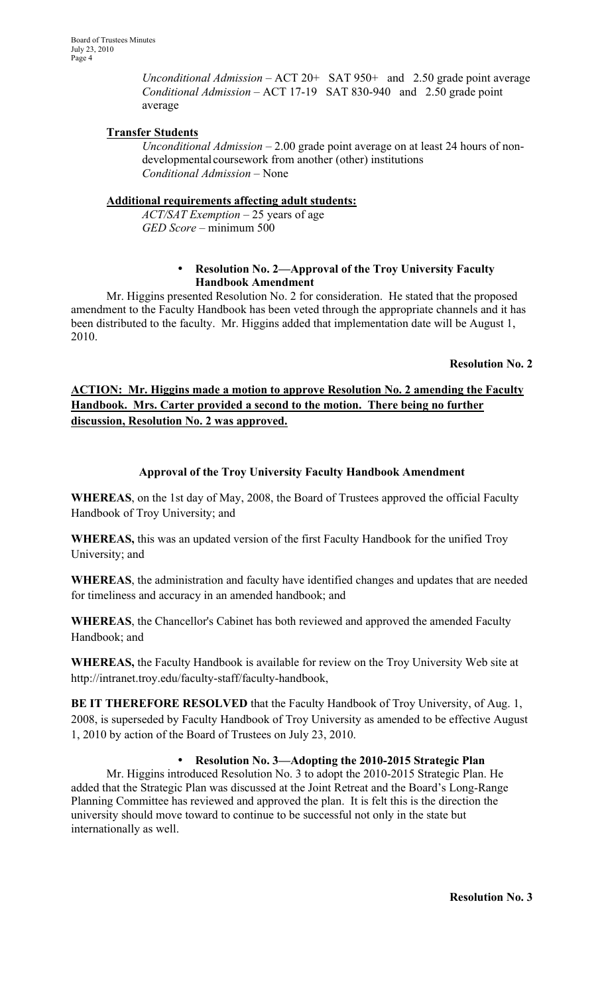*Unconditional Admission* – ACT 20+ SAT 950+ and 2.50 grade point average *Conditional Admission* – ACT 17-19 SAT 830-940 and 2.50 grade point average

# **Transfer Students**

*Unconditional Admission* – 2.00 grade point average on at least 24 hours of nondevelopmental coursework from another (other) institutions *Conditional Admission* – None

# **Additional requirements affecting adult students:**

*ACT/SAT Exemption* – 25 years of age *GED Score* – minimum 500

### • **Resolution No. 2—Approval of the Troy University Faculty Handbook Amendment**

Mr. Higgins presented Resolution No. 2 for consideration. He stated that the proposed amendment to the Faculty Handbook has been veted through the appropriate channels and it has been distributed to the faculty. Mr. Higgins added that implementation date will be August 1, 2010.

**Resolution No. 2**

# **ACTION: Mr. Higgins made a motion to approve Resolution No. 2 amending the Faculty Handbook. Mrs. Carter provided a second to the motion. There being no further discussion, Resolution No. 2 was approved.**

# **Approval of the Troy University Faculty Handbook Amendment**

**WHEREAS**, on the 1st day of May, 2008, the Board of Trustees approved the official Faculty Handbook of Troy University; and

**WHEREAS,** this was an updated version of the first Faculty Handbook for the unified Troy University; and

**WHEREAS**, the administration and faculty have identified changes and updates that are needed for timeliness and accuracy in an amended handbook; and

**WHEREAS**, the Chancellor's Cabinet has both reviewed and approved the amended Faculty Handbook; and

**WHEREAS,** the Faculty Handbook is available for review on the Troy University Web site at http://intranet.troy.edu/faculty-staff/faculty-handbook,

**BE IT THEREFORE RESOLVED** that the Faculty Handbook of Troy University, of Aug. 1, 2008, is superseded by Faculty Handbook of Troy University as amended to be effective August 1, 2010 by action of the Board of Trustees on July 23, 2010.

### • **Resolution No. 3—Adopting the 2010-2015 Strategic Plan**

Mr. Higgins introduced Resolution No. 3 to adopt the 2010-2015 Strategic Plan. He added that the Strategic Plan was discussed at the Joint Retreat and the Board's Long-Range Planning Committee has reviewed and approved the plan. It is felt this is the direction the university should move toward to continue to be successful not only in the state but internationally as well.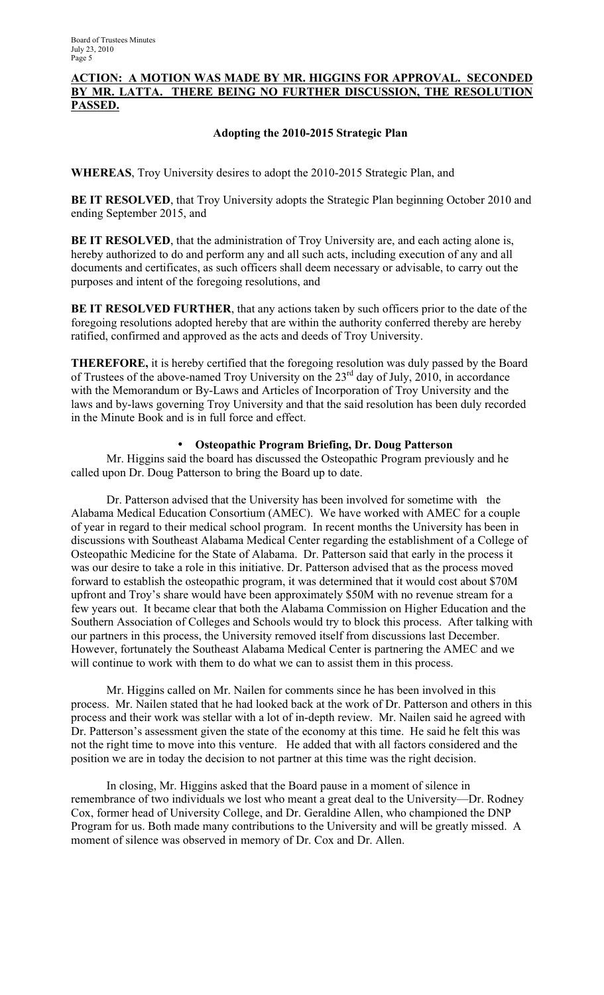# **ACTION: A MOTION WAS MADE BY MR. HIGGINS FOR APPROVAL. SECONDED BY MR. LATTA. THERE BEING NO FURTHER DISCUSSION, THE RESOLUTION PASSED.**

# **Adopting the 2010-2015 Strategic Plan**

**WHEREAS**, Troy University desires to adopt the 2010-2015 Strategic Plan, and

**BE IT RESOLVED**, that Troy University adopts the Strategic Plan beginning October 2010 and ending September 2015, and

**BE IT RESOLVED**, that the administration of Troy University are, and each acting alone is, hereby authorized to do and perform any and all such acts, including execution of any and all documents and certificates, as such officers shall deem necessary or advisable, to carry out the purposes and intent of the foregoing resolutions, and

**BE IT RESOLVED FURTHER**, that any actions taken by such officers prior to the date of the foregoing resolutions adopted hereby that are within the authority conferred thereby are hereby ratified, confirmed and approved as the acts and deeds of Troy University.

**THEREFORE,** it is hereby certified that the foregoing resolution was duly passed by the Board of Trustees of the above-named Troy University on the 23<sup>rd</sup> day of July, 2010, in accordance with the Memorandum or By-Laws and Articles of Incorporation of Troy University and the laws and by-laws governing Troy University and that the said resolution has been duly recorded in the Minute Book and is in full force and effect.

# • **Osteopathic Program Briefing, Dr. Doug Patterson**

Mr. Higgins said the board has discussed the Osteopathic Program previously and he called upon Dr. Doug Patterson to bring the Board up to date.

Dr. Patterson advised that the University has been involved for sometime with the Alabama Medical Education Consortium (AMEC). We have worked with AMEC for a couple of year in regard to their medical school program. In recent months the University has been in discussions with Southeast Alabama Medical Center regarding the establishment of a College of Osteopathic Medicine for the State of Alabama. Dr. Patterson said that early in the process it was our desire to take a role in this initiative. Dr. Patterson advised that as the process moved forward to establish the osteopathic program, it was determined that it would cost about \$70M upfront and Troy's share would have been approximately \$50M with no revenue stream for a few years out. It became clear that both the Alabama Commission on Higher Education and the Southern Association of Colleges and Schools would try to block this process. After talking with our partners in this process, the University removed itself from discussions last December. However, fortunately the Southeast Alabama Medical Center is partnering the AMEC and we will continue to work with them to do what we can to assist them in this process.

Mr. Higgins called on Mr. Nailen for comments since he has been involved in this process. Mr. Nailen stated that he had looked back at the work of Dr. Patterson and others in this process and their work was stellar with a lot of in-depth review. Mr. Nailen said he agreed with Dr. Patterson's assessment given the state of the economy at this time. He said he felt this was not the right time to move into this venture. He added that with all factors considered and the position we are in today the decision to not partner at this time was the right decision.

In closing, Mr. Higgins asked that the Board pause in a moment of silence in remembrance of two individuals we lost who meant a great deal to the University—Dr. Rodney Cox, former head of University College, and Dr. Geraldine Allen, who championed the DNP Program for us. Both made many contributions to the University and will be greatly missed. A moment of silence was observed in memory of Dr. Cox and Dr. Allen.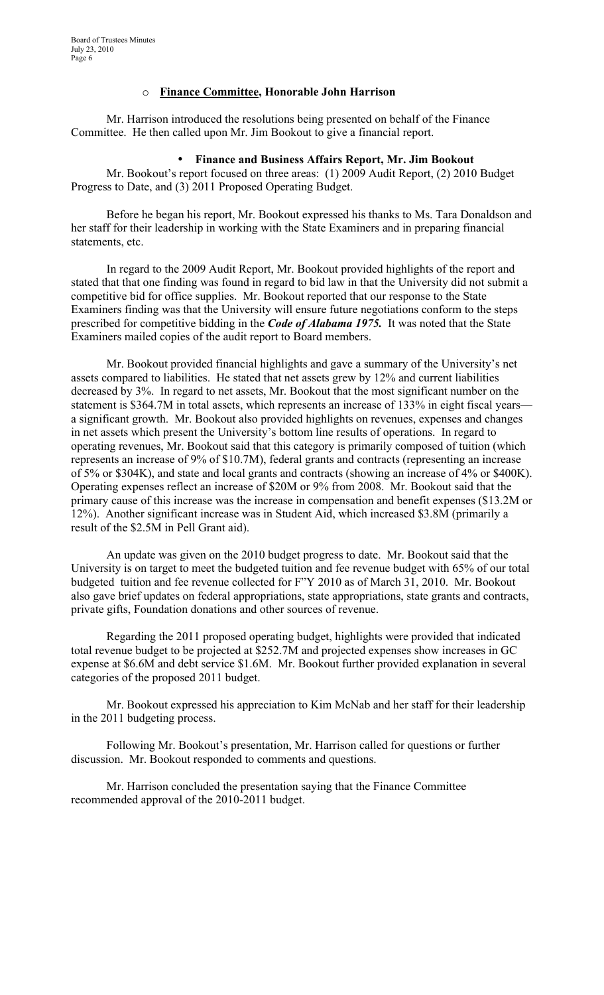# o **Finance Committee, Honorable John Harrison**

Mr. Harrison introduced the resolutions being presented on behalf of the Finance Committee. He then called upon Mr. Jim Bookout to give a financial report.

#### • **Finance and Business Affairs Report, Mr. Jim Bookout**

Mr. Bookout's report focused on three areas: (1) 2009 Audit Report, (2) 2010 Budget Progress to Date, and (3) 2011 Proposed Operating Budget.

Before he began his report, Mr. Bookout expressed his thanks to Ms. Tara Donaldson and her staff for their leadership in working with the State Examiners and in preparing financial statements, etc.

In regard to the 2009 Audit Report, Mr. Bookout provided highlights of the report and stated that that one finding was found in regard to bid law in that the University did not submit a competitive bid for office supplies. Mr. Bookout reported that our response to the State Examiners finding was that the University will ensure future negotiations conform to the steps prescribed for competitive bidding in the *Code of Alabama 1975.* It was noted that the State Examiners mailed copies of the audit report to Board members.

Mr. Bookout provided financial highlights and gave a summary of the University's net assets compared to liabilities. He stated that net assets grew by 12% and current liabilities decreased by 3%. In regard to net assets, Mr. Bookout that the most significant number on the statement is \$364.7M in total assets, which represents an increase of 133% in eight fiscal years a significant growth. Mr. Bookout also provided highlights on revenues, expenses and changes in net assets which present the University's bottom line results of operations. In regard to operating revenues, Mr. Bookout said that this category is primarily composed of tuition (which represents an increase of 9% of \$10.7M), federal grants and contracts (representing an increase of 5% or \$304K), and state and local grants and contracts (showing an increase of 4% or \$400K). Operating expenses reflect an increase of \$20M or 9% from 2008. Mr. Bookout said that the primary cause of this increase was the increase in compensation and benefit expenses (\$13.2M or 12%). Another significant increase was in Student Aid, which increased \$3.8M (primarily a result of the \$2.5M in Pell Grant aid).

An update was given on the 2010 budget progress to date. Mr. Bookout said that the University is on target to meet the budgeted tuition and fee revenue budget with 65% of our total budgeted tuition and fee revenue collected for F"Y 2010 as of March 31, 2010. Mr. Bookout also gave brief updates on federal appropriations, state appropriations, state grants and contracts, private gifts, Foundation donations and other sources of revenue.

Regarding the 2011 proposed operating budget, highlights were provided that indicated total revenue budget to be projected at \$252.7M and projected expenses show increases in GC expense at \$6.6M and debt service \$1.6M. Mr. Bookout further provided explanation in several categories of the proposed 2011 budget.

Mr. Bookout expressed his appreciation to Kim McNab and her staff for their leadership in the 2011 budgeting process.

Following Mr. Bookout's presentation, Mr. Harrison called for questions or further discussion. Mr. Bookout responded to comments and questions.

Mr. Harrison concluded the presentation saying that the Finance Committee recommended approval of the 2010-2011 budget.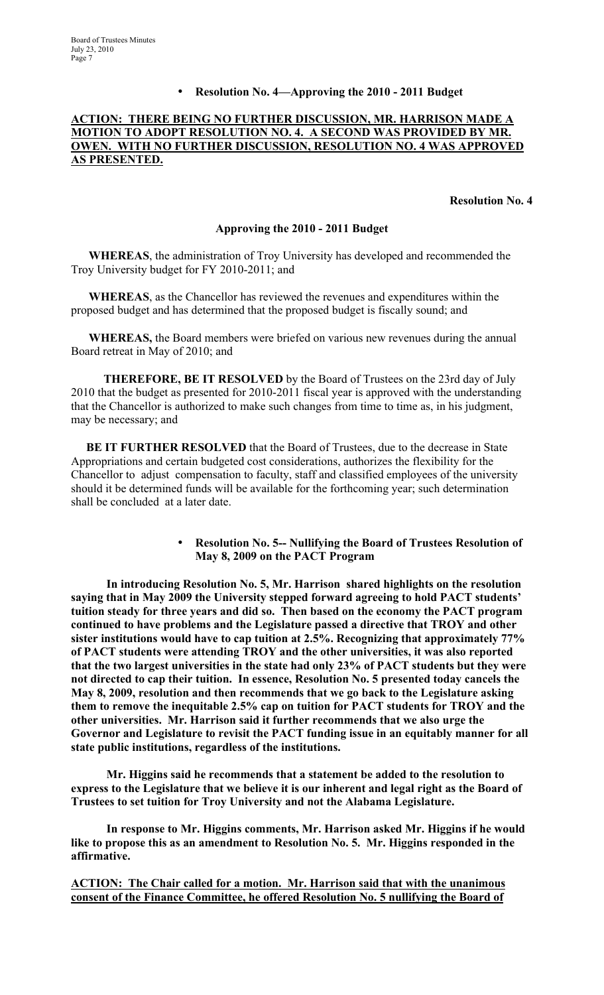### • **Resolution No. 4—Approving the 2010 - 2011 Budget**

### **ACTION: THERE BEING NO FURTHER DISCUSSION, MR. HARRISON MADE A MOTION TO ADOPT RESOLUTION NO. 4. A SECOND WAS PROVIDED BY MR. OWEN. WITH NO FURTHER DISCUSSION, RESOLUTION NO. 4 WAS APPROVED AS PRESENTED.**

**Resolution No. 4**

#### **Approving the 2010 - 2011 Budget**

 **WHEREAS**, the administration of Troy University has developed and recommended the Troy University budget for FY 2010-2011; and

 **WHEREAS**, as the Chancellor has reviewed the revenues and expenditures within the proposed budget and has determined that the proposed budget is fiscally sound; and

 **WHEREAS,** the Board members were briefed on various new revenues during the annual Board retreat in May of 2010; and

 **THEREFORE, BE IT RESOLVED** by the Board of Trustees on the 23rd day of July 2010 that the budget as presented for 2010-2011 fiscal year is approved with the understanding that the Chancellor is authorized to make such changes from time to time as, in his judgment, may be necessary; and

**BE IT FURTHER RESOLVED** that the Board of Trustees, due to the decrease in State Appropriations and certain budgeted cost considerations, authorizes the flexibility for the Chancellor to adjust compensation to faculty, staff and classified employees of the university should it be determined funds will be available for the forthcoming year; such determination shall be concluded at a later date.

> • **Resolution No. 5-- Nullifying the Board of Trustees Resolution of May 8, 2009 on the PACT Program**

**In introducing Resolution No. 5, Mr. Harrison shared highlights on the resolution saying that in May 2009 the University stepped forward agreeing to hold PACT students' tuition steady for three years and did so. Then based on the economy the PACT program continued to have problems and the Legislature passed a directive that TROY and other sister institutions would have to cap tuition at 2.5%. Recognizing that approximately 77% of PACT students were attending TROY and the other universities, it was also reported that the two largest universities in the state had only 23% of PACT students but they were not directed to cap their tuition. In essence, Resolution No. 5 presented today cancels the May 8, 2009, resolution and then recommends that we go back to the Legislature asking them to remove the inequitable 2.5% cap on tuition for PACT students for TROY and the other universities. Mr. Harrison said it further recommends that we also urge the Governor and Legislature to revisit the PACT funding issue in an equitably manner for all state public institutions, regardless of the institutions.**

**Mr. Higgins said he recommends that a statement be added to the resolution to express to the Legislature that we believe it is our inherent and legal right as the Board of Trustees to set tuition for Troy University and not the Alabama Legislature.**

**In response to Mr. Higgins comments, Mr. Harrison asked Mr. Higgins if he would like to propose this as an amendment to Resolution No. 5. Mr. Higgins responded in the affirmative.**

**ACTION: The Chair called for a motion. Mr. Harrison said that with the unanimous consent of the Finance Committee, he offered Resolution No. 5 nullifying the Board of**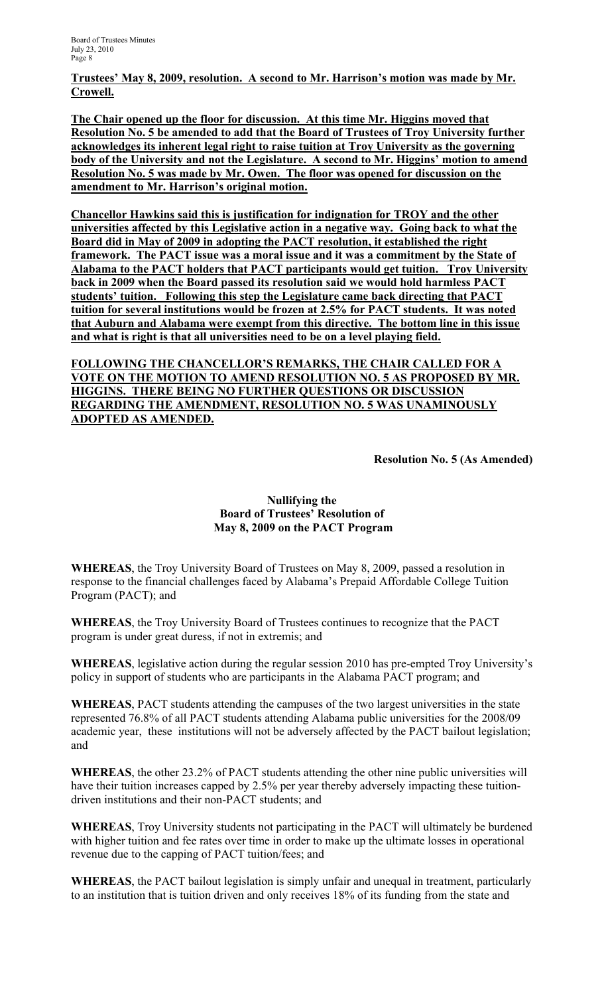**Trustees' May 8, 2009, resolution. A second to Mr. Harrison's motion was made by Mr. Crowell.** 

**The Chair opened up the floor for discussion. At this time Mr. Higgins moved that Resolution No. 5 be amended to add that the Board of Trustees of Troy University further acknowledges its inherent legal right to raise tuition at Troy University as the governing body of the University and not the Legislature. A second to Mr. Higgins' motion to amend Resolution No. 5 was made by Mr. Owen. The floor was opened for discussion on the amendment to Mr. Harrison's original motion.**

**Chancellor Hawkins said this is justification for indignation for TROY and the other universities affected by this Legislative action in a negative way. Going back to what the Board did in May of 2009 in adopting the PACT resolution, it established the right framework. The PACT issue was a moral issue and it was a commitment by the State of Alabama to the PACT holders that PACT participants would get tuition. Troy University back in 2009 when the Board passed its resolution said we would hold harmless PACT students' tuition. Following this step the Legislature came back directing that PACT tuition for several institutions would be frozen at 2.5% for PACT students. It was noted that Auburn and Alabama were exempt from this directive. The bottom line in this issue and what is right is that all universities need to be on a level playing field.** 

**FOLLOWING THE CHANCELLOR'S REMARKS, THE CHAIR CALLED FOR A VOTE ON THE MOTION TO AMEND RESOLUTION NO. 5 AS PROPOSED BY MR. HIGGINS. THERE BEING NO FURTHER QUESTIONS OR DISCUSSION REGARDING THE AMENDMENT, RESOLUTION NO. 5 WAS UNAMINOUSLY ADOPTED AS AMENDED.**

**Resolution No. 5 (As Amended)**

# **Nullifying the Board of Trustees' Resolution of May 8, 2009 on the PACT Program**

**WHEREAS**, the Troy University Board of Trustees on May 8, 2009, passed a resolution in response to the financial challenges faced by Alabama's Prepaid Affordable College Tuition Program (PACT); and

**WHEREAS**, the Troy University Board of Trustees continues to recognize that the PACT program is under great duress, if not in extremis; and

**WHEREAS**, legislative action during the regular session 2010 has pre-empted Troy University's policy in support of students who are participants in the Alabama PACT program; and

**WHEREAS**, PACT students attending the campuses of the two largest universities in the state represented 76.8% of all PACT students attending Alabama public universities for the 2008/09 academic year, these institutions will not be adversely affected by the PACT bailout legislation; and

**WHEREAS**, the other 23.2% of PACT students attending the other nine public universities will have their tuition increases capped by 2.5% per year thereby adversely impacting these tuitiondriven institutions and their non-PACT students; and

**WHEREAS**, Troy University students not participating in the PACT will ultimately be burdened with higher tuition and fee rates over time in order to make up the ultimate losses in operational revenue due to the capping of PACT tuition/fees; and

**WHEREAS**, the PACT bailout legislation is simply unfair and unequal in treatment, particularly to an institution that is tuition driven and only receives 18% of its funding from the state and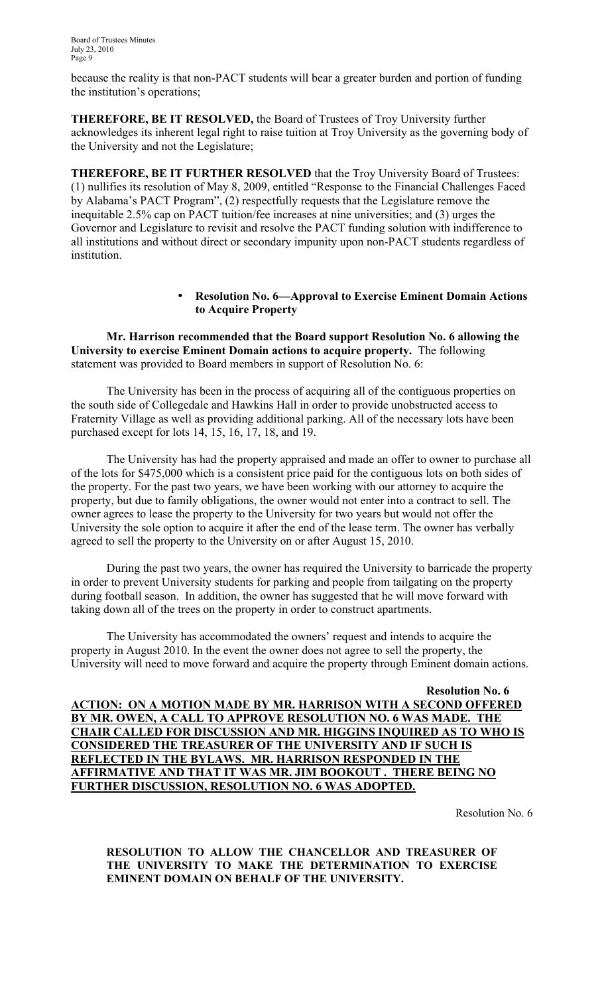because the reality is that non-PACT students will bear a greater burden and portion of funding the institution's operations;

**THEREFORE, BE IT RESOLVED,** the Board of Trustees of Troy University further acknowledges its inherent legal right to raise tuition at Troy University as the governing body of the University and not the Legislature;

**THEREFORE, BE IT FURTHER RESOLVED** that the Troy University Board of Trustees: (1) nullifies its resolution of May 8, 2009, entitled "Response to the Financial Challenges Faced by Alabama's PACT Program", (2) respectfully requests that the Legislature remove the inequitable 2.5% cap on PACT tuition/fee increases at nine universities; and (3) urges the Governor and Legislature to revisit and resolve the PACT funding solution with indifference to all institutions and without direct or secondary impunity upon non-PACT students regardless of institution.

# • **Resolution No. 6—Approval to Exercise Eminent Domain Actions to Acquire Property**

**Mr. Harrison recommended that the Board support Resolution No. 6 allowing the University to exercise Eminent Domain actions to acquire property.** The following statement was provided to Board members in support of Resolution No. 6:

The University has been in the process of acquiring all of the contiguous properties on the south side of Collegedale and Hawkins Hall in order to provide unobstructed access to Fraternity Village as well as providing additional parking. All of the necessary lots have been purchased except for lots 14, 15, 16, 17, 18, and 19.

The University has had the property appraised and made an offer to owner to purchase all of the lots for \$475,000 which is a consistent price paid for the contiguous lots on both sides of the property. For the past two years, we have been working with our attorney to acquire the property, but due to family obligations, the owner would not enter into a contract to sell. The owner agrees to lease the property to the University for two years but would not offer the University the sole option to acquire it after the end of the lease term. The owner has verbally agreed to sell the property to the University on or after August 15, 2010.

During the past two years, the owner has required the University to barricade the property in order to prevent University students for parking and people from tailgating on the property during football season. In addition, the owner has suggested that he will move forward with taking down all of the trees on the property in order to construct apartments.

The University has accommodated the owners' request and intends to acquire the property in August 2010. In the event the owner does not agree to sell the property, the University will need to move forward and acquire the property through Eminent domain actions.

**Resolution No. 6 ACTION: ON A MOTION MADE BY MR. HARRISON WITH A SECOND OFFERED BY MR. OWEN, A CALL TO APPROVE RESOLUTION NO. 6 WAS MADE. THE CHAIR CALLED FOR DISCUSSION AND MR. HIGGINS INQUIRED AS TO WHO IS CONSIDERED THE TREASURER OF THE UNIVERSITY AND IF SUCH IS REFLECTED IN THE BYLAWS. MR. HARRISON RESPONDED IN THE AFFIRMATIVE AND THAT IT WAS MR. JIM BOOKOUT . THERE BEING NO FURTHER DISCUSSION, RESOLUTION NO. 6 WAS ADOPTED.**

Resolution No. 6

**RESOLUTION TO ALLOW THE CHANCELLOR AND TREASURER OF THE UNIVERSITY TO MAKE THE DETERMINATION TO EXERCISE EMINENT DOMAIN ON BEHALF OF THE UNIVERSITY.**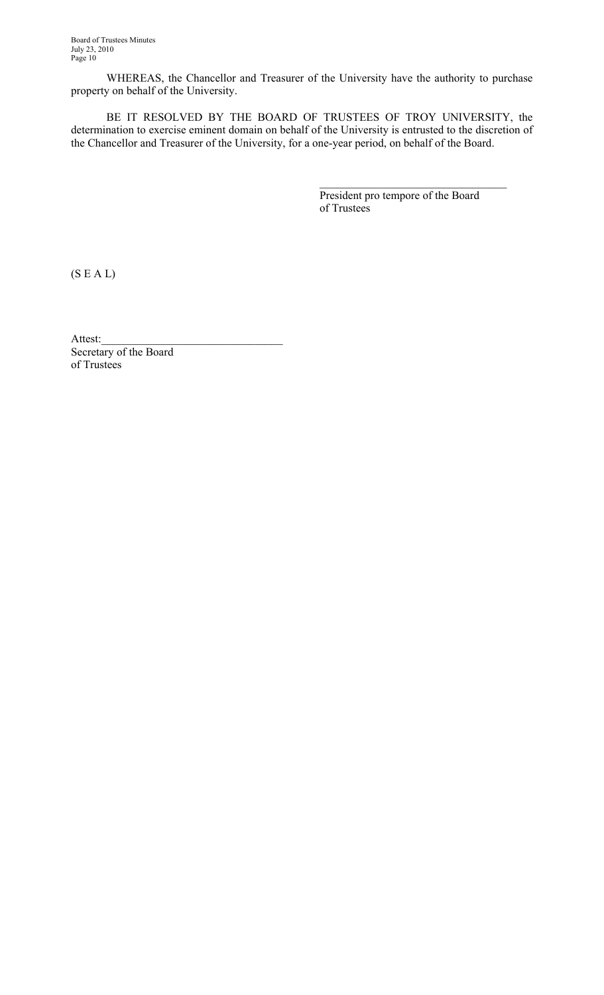WHEREAS, the Chancellor and Treasurer of the University have the authority to purchase property on behalf of the University.

BE IT RESOLVED BY THE BOARD OF TRUSTEES OF TROY UNIVERSITY, the determination to exercise eminent domain on behalf of the University is entrusted to the discretion of the Chancellor and Treasurer of the University, for a one-year period, on behalf of the Board.

> President pro tempore of the Board of Trustees

 $\mathcal{L}_\text{max}$ 

 $(S E A L)$ 

Attest:

Secretary of the Board of Trustees